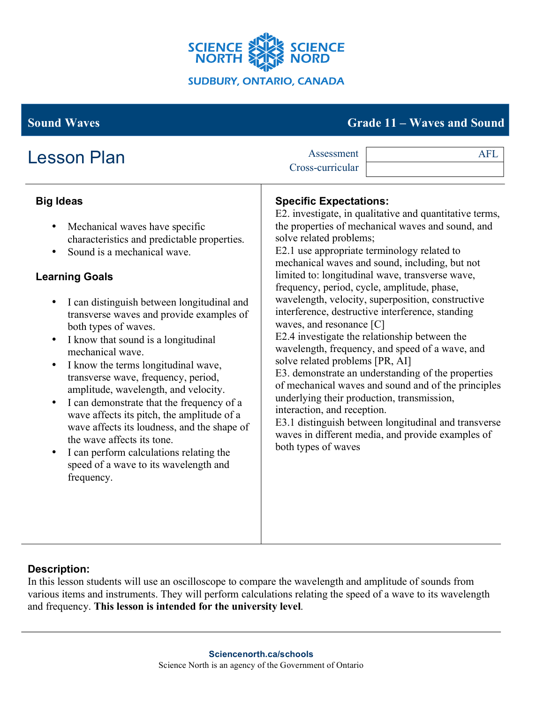

# **Sound Waves Grade 11 – Waves and Sound**

| <b>Lesson Plan</b>                                                                                                                                                                                                                                                                                                                                                                                                                                                                                                                                                                                                                                                                                                                                                                                                                | Assessment<br>Cross-curricular                                                                                                                                                                                                                                                                                                                                                                                                                                                                                                      | <b>AFL</b>                                                                                                                                                                                                                                                                                                                                                                                                                                     |
|-----------------------------------------------------------------------------------------------------------------------------------------------------------------------------------------------------------------------------------------------------------------------------------------------------------------------------------------------------------------------------------------------------------------------------------------------------------------------------------------------------------------------------------------------------------------------------------------------------------------------------------------------------------------------------------------------------------------------------------------------------------------------------------------------------------------------------------|-------------------------------------------------------------------------------------------------------------------------------------------------------------------------------------------------------------------------------------------------------------------------------------------------------------------------------------------------------------------------------------------------------------------------------------------------------------------------------------------------------------------------------------|------------------------------------------------------------------------------------------------------------------------------------------------------------------------------------------------------------------------------------------------------------------------------------------------------------------------------------------------------------------------------------------------------------------------------------------------|
| <b>Big Ideas</b><br>Mechanical waves have specific<br>$\bullet$<br>characteristics and predictable properties.<br>Sound is a mechanical wave.<br>$\bullet$<br><b>Learning Goals</b><br>I can distinguish between longitudinal and<br>$\bullet$<br>transverse waves and provide examples of<br>both types of waves.<br>I know that sound is a longitudinal<br>$\bullet$<br>mechanical wave.<br>I know the terms longitudinal wave,<br>$\bullet$<br>transverse wave, frequency, period,<br>amplitude, wavelength, and velocity.<br>I can demonstrate that the frequency of a<br>$\bullet$<br>wave affects its pitch, the amplitude of a<br>wave affects its loudness, and the shape of<br>the wave affects its tone.<br>I can perform calculations relating the<br>$\bullet$<br>speed of a wave to its wavelength and<br>frequency. | <b>Specific Expectations:</b><br>solve related problems;<br>E2.1 use appropriate terminology related to<br>mechanical waves and sound, including, but not<br>limited to: longitudinal wave, transverse wave,<br>frequency, period, cycle, amplitude, phase,<br>interference, destructive interference, standing<br>waves, and resonance [C]<br>E2.4 investigate the relationship between the<br>solve related problems [PR, AI]<br>underlying their production, transmission,<br>interaction, and reception.<br>both types of waves | E2. investigate, in qualitative and quantitative terms,<br>the properties of mechanical waves and sound, and<br>wavelength, velocity, superposition, constructive<br>wavelength, frequency, and speed of a wave, and<br>E3. demonstrate an understanding of the properties<br>of mechanical waves and sound and of the principles<br>E3.1 distinguish between longitudinal and transverse<br>waves in different media, and provide examples of |

# **Description:**

In this lesson students will use an oscilloscope to compare the wavelength and amplitude of sounds from various items and instruments. They will perform calculations relating the speed of a wave to its wavelength and frequency. **This lesson is intended for the university level**.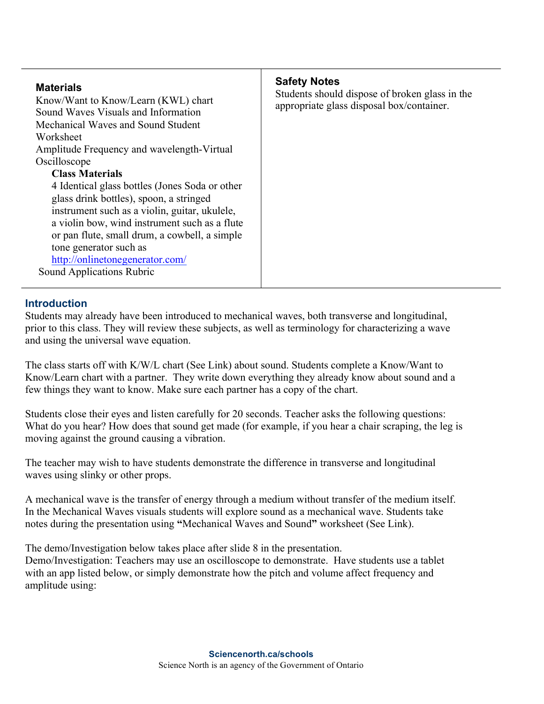| <b>Materials</b><br>Know/Want to Know/Learn (KWL) chart<br>Sound Waves Visuals and Information<br>Mechanical Waves and Sound Student<br>Worksheet<br>Amplitude Frequency and wavelength-Virtual<br>Oscilloscope<br><b>Class Materials</b><br>4 Identical glass bottles (Jones Soda or other<br>glass drink bottles), spoon, a stringed<br>instrument such as a violin, guitar, ukulele,<br>a violin bow, wind instrument such as a flute<br>or pan flute, small drum, a cowbell, a simple<br>tone generator such as<br>http://onlinetonegenerator.com/<br>Sound Applications Rubric | <b>Safety Notes</b><br>Students should dispose of broken glass in the<br>appropriate glass disposal box/container. |
|-------------------------------------------------------------------------------------------------------------------------------------------------------------------------------------------------------------------------------------------------------------------------------------------------------------------------------------------------------------------------------------------------------------------------------------------------------------------------------------------------------------------------------------------------------------------------------------|--------------------------------------------------------------------------------------------------------------------|
|                                                                                                                                                                                                                                                                                                                                                                                                                                                                                                                                                                                     |                                                                                                                    |

#### **Introduction**

Students may already have been introduced to mechanical waves, both transverse and longitudinal, prior to this class. They will review these subjects, as well as terminology for characterizing a wave and using the universal wave equation.

The class starts off with K/W/L chart (See Link) about sound. Students complete a Know/Want to Know/Learn chart with a partner. They write down everything they already know about sound and a few things they want to know. Make sure each partner has a copy of the chart.

Students close their eyes and listen carefully for 20 seconds. Teacher asks the following questions: What do you hear? How does that sound get made (for example, if you hear a chair scraping, the leg is moving against the ground causing a vibration.

The teacher may wish to have students demonstrate the difference in transverse and longitudinal waves using slinky or other props.

A mechanical wave is the transfer of energy through a medium without transfer of the medium itself. In the Mechanical Waves visuals students will explore sound as a mechanical wave. Students take notes during the presentation using **"**Mechanical Waves and Sound**"** worksheet (See Link).

The demo/Investigation below takes place after slide 8 in the presentation. Demo/Investigation: Teachers may use an oscilloscope to demonstrate. Have students use a tablet with an app listed below, or simply demonstrate how the pitch and volume affect frequency and amplitude using: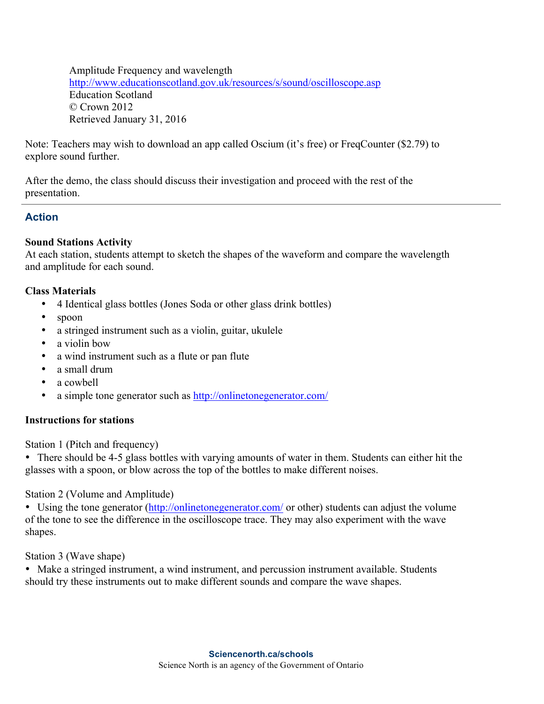Amplitude Frequency and wavelength http://www.educationscotland.gov.uk/resources/s/sound/oscilloscope.asp Education Scotland © Crown 2012 Retrieved January 31, 2016

Note: Teachers may wish to download an app called Oscium (it's free) or FreqCounter (\$2.79) to explore sound further.

After the demo, the class should discuss their investigation and proceed with the rest of the presentation.

## **Action**

#### **Sound Stations Activity**

At each station, students attempt to sketch the shapes of the waveform and compare the wavelength and amplitude for each sound.

#### **Class Materials**

- 4 Identical glass bottles (Jones Soda or other glass drink bottles)
- spoon
- a stringed instrument such as a violin, guitar, ukulele
- a violin bow
- a wind instrument such as a flute or pan flute
- a small drum
- a cowbell
- a simple tone generator such as http://onlinetonegenerator.com/

#### **Instructions for stations**

Station 1 (Pitch and frequency)

• There should be 4-5 glass bottles with varying amounts of water in them. Students can either hit the glasses with a spoon, or blow across the top of the bottles to make different noises.

Station 2 (Volume and Amplitude)

• Using the tone generator (http://onlinetonegenerator.com/ or other) students can adjust the volume of the tone to see the difference in the oscilloscope trace. They may also experiment with the wave shapes.

Station 3 (Wave shape)

• Make a stringed instrument, a wind instrument, and percussion instrument available. Students should try these instruments out to make different sounds and compare the wave shapes.